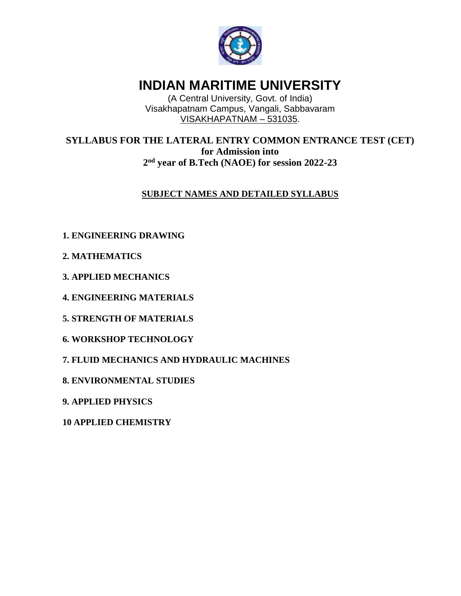

**INDIAN MARITIME UNIVERSITY**

(A Central University, Govt. of India) Visakhapatnam Campus, Vangali, Sabbavaram VISAKHAPATNAM – 531035.

# **SYLLABUS FOR THE LATERAL ENTRY COMMON ENTRANCE TEST (CET) for Admission into 2 nd year of B.Tech (NAOE) for session 2022-23**

**SUBJECT NAMES AND DETAILED SYLLABUS**

- **1. ENGINEERING DRAWING**
- **2. MATHEMATICS**
- **3. APPLIED MECHANICS**
- **4. ENGINEERING MATERIALS**
- **5. STRENGTH OF MATERIALS**
- **6. WORKSHOP TECHNOLOGY**
- **7. FLUID MECHANICS AND HYDRAULIC MACHINES**
- **8. ENVIRONMENTAL STUDIES**
- **9. APPLIED PHYSICS**
- **10 APPLIED CHEMISTRY**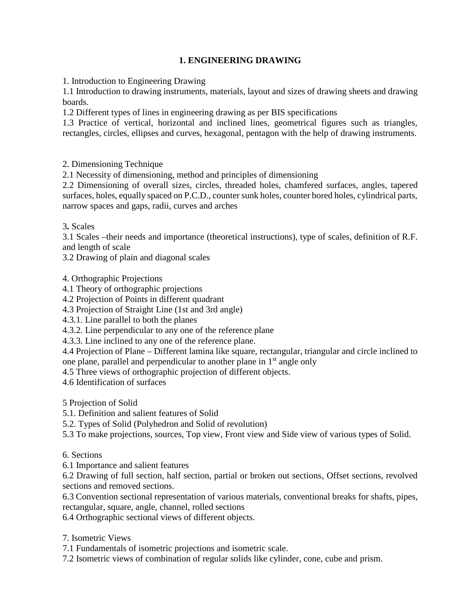# **1. ENGINEERING DRAWING**

1. Introduction to Engineering Drawing

1.1 Introduction to drawing instruments, materials, layout and sizes of drawing sheets and drawing boards.

1.2 Different types of lines in engineering drawing as per BIS specifications

1.3 Practice of vertical, horizontal and inclined lines, geometrical figures such as triangles, rectangles, circles, ellipses and curves, hexagonal, pentagon with the help of drawing instruments.

2. Dimensioning Technique

2.1 Necessity of dimensioning, method and principles of dimensioning

2.2 Dimensioning of overall sizes, circles, threaded holes, chamfered surfaces, angles, tapered surfaces, holes, equally spaced on P.C.D., counter sunk holes, counter bored holes, cylindrical parts, narrow spaces and gaps, radii, curves and arches

3**.** Scales

3.1 Scales –their needs and importance (theoretical instructions), type of scales, definition of R.F. and length of scale

3.2 Drawing of plain and diagonal scales

4. Orthographic Projections

4.1 Theory of orthographic projections

4.2 Projection of Points in different quadrant

4.3 Projection of Straight Line (1st and 3rd angle)

4.3.1. Line parallel to both the planes

4.3.2. Line perpendicular to any one of the reference plane

4.3.3. Line inclined to any one of the reference plane.

4.4 Projection of Plane – Different lamina like square, rectangular, triangular and circle inclined to one plane, parallel and perpendicular to another plane in  $1<sup>st</sup>$  angle only

4.5 Three views of orthographic projection of different objects.

4.6 Identification of surfaces

5 Projection of Solid

5.1. Definition and salient features of Solid

5.2. Types of Solid (Polyhedron and Solid of revolution)

5.3 To make projections, sources, Top view, Front view and Side view of various types of Solid.

6. Sections

6.1 Importance and salient features

6.2 Drawing of full section, half section, partial or broken out sections, Offset sections, revolved sections and removed sections.

6.3 Convention sectional representation of various materials, conventional breaks for shafts, pipes, rectangular, square, angle, channel, rolled sections

6.4 Orthographic sectional views of different objects.

7. Isometric Views

7.1 Fundamentals of isometric projections and isometric scale.

7.2 Isometric views of combination of regular solids like cylinder, cone, cube and prism.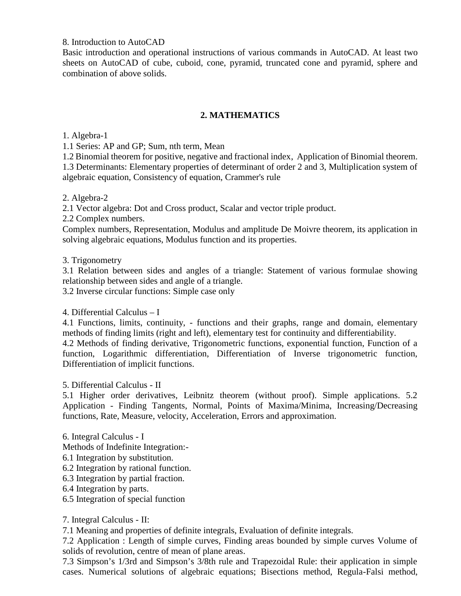8. Introduction to AutoCAD

Basic introduction and operational instructions of various commands in AutoCAD. At least two sheets on AutoCAD of cube, cuboid, cone, pyramid, truncated cone and pyramid, sphere and combination of above solids.

# **2. MATHEMATICS**

1. Algebra-1

1.1 Series: AP and GP; Sum, nth term, Mean

1.2 Binomial theorem for positive, negative and fractional index, Application of Binomial theorem.

1.3 Determinants: Elementary properties of determinant of order 2 and 3, Multiplication system of algebraic equation, Consistency of equation, Crammer's rule

2. Algebra-2

2.1 Vector algebra: Dot and Cross product, Scalar and vector triple product.

2.2 Complex numbers.

Complex numbers, Representation, Modulus and amplitude De Moivre theorem, its application in solving algebraic equations, Modulus function and its properties.

### 3. Trigonometry

3.1 Relation between sides and angles of a triangle: Statement of various formulae showing relationship between sides and angle of a triangle.

3.2 Inverse circular functions: Simple case only

#### 4. Differential Calculus – I

4.1 Functions, limits, continuity, - functions and their graphs, range and domain, elementary methods of finding limits (right and left), elementary test for continuity and differentiability. 4.2 Methods of finding derivative, Trigonometric functions, exponential function, Function of a function, Logarithmic differentiation, Differentiation of Inverse trigonometric function, Differentiation of implicit functions.

## 5. Differential Calculus - II

5.1 Higher order derivatives, Leibnitz theorem (without proof). Simple applications. 5.2 Application - Finding Tangents, Normal, Points of Maxima/Minima, Increasing/Decreasing functions, Rate, Measure, velocity, Acceleration, Errors and approximation.

6. Integral Calculus - I

Methods of Indefinite Integration:-

- 6.1 Integration by substitution.
- 6.2 Integration by rational function.
- 6.3 Integration by partial fraction.
- 6.4 Integration by parts.
- 6.5 Integration of special function

7. Integral Calculus - II:

7.1 Meaning and properties of definite integrals, Evaluation of definite integrals.

7.2 Application : Length of simple curves, Finding areas bounded by simple curves Volume of solids of revolution, centre of mean of plane areas.

7.3 Simpson's 1/3rd and Simpson's 3/8th rule and Trapezoidal Rule: their application in simple cases. Numerical solutions of algebraic equations; Bisections method, Regula-Falsi method,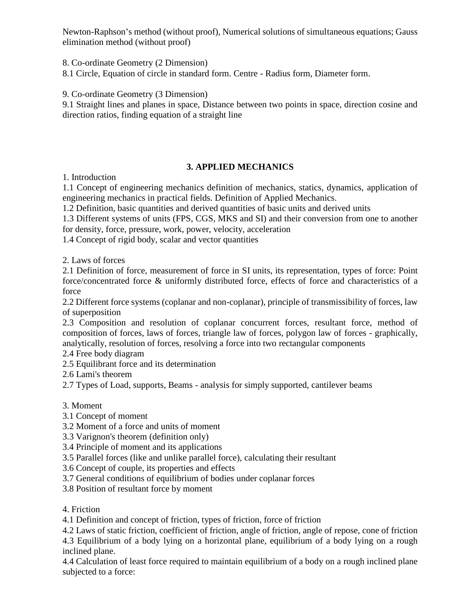Newton-Raphson's method (without proof), Numerical solutions of simultaneous equations; Gauss elimination method (without proof)

8. Co-ordinate Geometry (2 Dimension)

8.1 Circle, Equation of circle in standard form. Centre - Radius form, Diameter form.

9. Co-ordinate Geometry (3 Dimension)

9.1 Straight lines and planes in space, Distance between two points in space, direction cosine and direction ratios, finding equation of a straight line

# **3. APPLIED MECHANICS**

1. Introduction

1.1 Concept of engineering mechanics definition of mechanics, statics, dynamics, application of engineering mechanics in practical fields. Definition of Applied Mechanics.

1.2 Definition, basic quantities and derived quantities of basic units and derived units

1.3 Different systems of units (FPS, CGS, MKS and SI) and their conversion from one to another for density, force, pressure, work, power, velocity, acceleration

1.4 Concept of rigid body, scalar and vector quantities

2. Laws of forces

2.1 Definition of force, measurement of force in SI units, its representation, types of force: Point force/concentrated force & uniformly distributed force, effects of force and characteristics of a force

2.2 Different force systems (coplanar and non-coplanar), principle of transmissibility of forces, law of superposition

2.3 Composition and resolution of coplanar concurrent forces, resultant force, method of composition of forces, laws of forces, triangle law of forces, polygon law of forces - graphically, analytically, resolution of forces, resolving a force into two rectangular components

2.4 Free body diagram

2.5 Equilibrant force and its determination

2.6 Lami's theorem

2.7 Types of Load, supports, Beams - analysis for simply supported, cantilever beams

3. Moment

3.1 Concept of moment

- 3.2 Moment of a force and units of moment
- 3.3 Varignon's theorem (definition only)
- 3.4 Principle of moment and its applications
- 3.5 Parallel forces (like and unlike parallel force), calculating their resultant
- 3.6 Concept of couple, its properties and effects
- 3.7 General conditions of equilibrium of bodies under coplanar forces
- 3.8 Position of resultant force by moment

4. Friction

4.1 Definition and concept of friction, types of friction, force of friction

4.2 Laws of static friction, coefficient of friction, angle of friction, angle of repose, cone of friction 4.3 Equilibrium of a body lying on a horizontal plane, equilibrium of a body lying on a rough inclined plane.

4.4 Calculation of least force required to maintain equilibrium of a body on a rough inclined plane subjected to a force: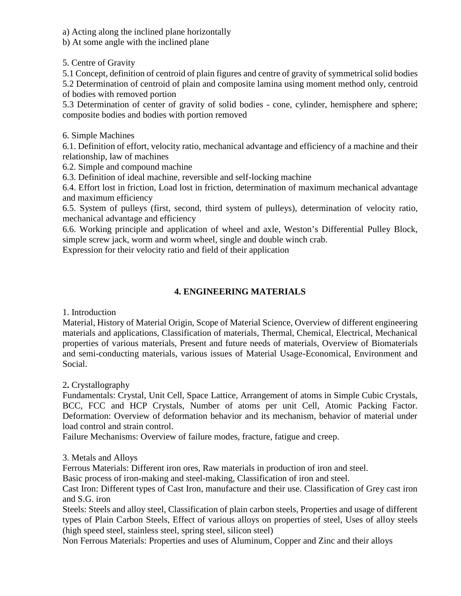a) Acting along the inclined plane horizontally

b) At some angle with the inclined plane

5. Centre of Gravity

5.1 Concept, definition of centroid of plain figures and centre of gravity of symmetrical solid bodies

5.2 Determination of centroid of plain and composite lamina using moment method only, centroid of bodies with removed portion

5.3 Determination of center of gravity of solid bodies - cone, cylinder, hemisphere and sphere; composite bodies and bodies with portion removed

6. Simple Machines

6.1. Definition of effort, velocity ratio, mechanical advantage and efficiency of a machine and their relationship, law of machines

6.2. Simple and compound machine

6.3. Definition of ideal machine, reversible and self-locking machine

6.4. Effort lost in friction, Load lost in friction, determination of maximum mechanical advantage and maximum efficiency

6.5. System of pulleys (first, second, third system of pulleys), determination of velocity ratio, mechanical advantage and efficiency

6.6. Working principle and application of wheel and axle, Weston's Differential Pulley Block, simple screw jack, worm and worm wheel, single and double winch crab.

Expression for their velocity ratio and field of their application

# **4. ENGINEERING MATERIALS**

1. Introduction

Material, History of Material Origin, Scope of Material Science, Overview of different engineering materials and applications, Classification of materials, Thermal, Chemical, Electrical, Mechanical properties of various materials, Present and future needs of materials, Overview of Biomaterials and semi-conducting materials, various issues of Material Usage-Economical, Environment and Social.

2**.** Crystallography

Fundamentals: Crystal, Unit Cell, Space Lattice, Arrangement of atoms in Simple Cubic Crystals, BCC, FCC and HCP Crystals, Number of atoms per unit Cell, Atomic Packing Factor. Deformation: Overview of deformation behavior and its mechanism, behavior of material under load control and strain control.

Failure Mechanisms: Overview of failure modes, fracture, fatigue and creep.

3. Metals and Alloys

Ferrous Materials: Different iron ores, Raw materials in production of iron and steel.

Basic process of iron-making and steel-making, Classification of iron and steel.

Cast Iron: Different types of Cast Iron, manufacture and their use. Classification of Grey cast iron and S.G. iron

Steels: Steels and alloy steel, Classification of plain carbon steels, Properties and usage of different types of Plain Carbon Steels, Effect of various alloys on properties of steel, Uses of alloy steels (high speed steel, stainless steel, spring steel, silicon steel)

Non Ferrous Materials: Properties and uses of Aluminum, Copper and Zinc and their alloys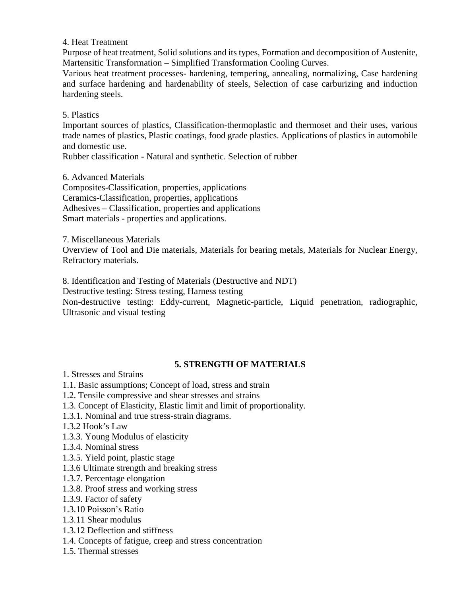4. Heat Treatment

Purpose of heat treatment, Solid solutions and its types, Formation and decomposition of Austenite, Martensitic Transformation – Simplified Transformation Cooling Curves.

Various heat treatment processes- hardening, tempering, annealing, normalizing, Case hardening and surface hardening and hardenability of steels, Selection of case carburizing and induction hardening steels.

#### 5. Plastics

Important sources of plastics, Classification-thermoplastic and thermoset and their uses, various trade names of plastics, Plastic coatings, food grade plastics. Applications of plastics in automobile and domestic use.

Rubber classification - Natural and synthetic. Selection of rubber

6. Advanced Materials

Composites-Classification, properties, applications Ceramics-Classification, properties, applications Adhesives – Classification, properties and applications Smart materials - properties and applications.

7. Miscellaneous Materials

Overview of Tool and Die materials, Materials for bearing metals, Materials for Nuclear Energy, Refractory materials.

8. Identification and Testing of Materials (Destructive and NDT)

Destructive testing: Stress testing, Harness testing

Non-destructive testing: Eddy-current, Magnetic-particle, Liquid penetration, radiographic, Ultrasonic and visual testing

## **5. STRENGTH OF MATERIALS**

1. Stresses and Strains

- 1.1. Basic assumptions; Concept of load, stress and strain
- 1.2. Tensile compressive and shear stresses and strains
- 1.3. Concept of Elasticity, Elastic limit and limit of proportionality.
- 1.3.1. Nominal and true stress-strain diagrams.

1.3.2 Hook's Law

- 1.3.3. Young Modulus of elasticity
- 1.3.4. Nominal stress
- 1.3.5. Yield point, plastic stage
- 1.3.6 Ultimate strength and breaking stress
- 1.3.7. Percentage elongation
- 1.3.8. Proof stress and working stress
- 1.3.9. Factor of safety
- 1.3.10 Poisson's Ratio
- 1.3.11 Shear modulus
- 1.3.12 Deflection and stiffness
- 1.4. Concepts of fatigue, creep and stress concentration
- 1.5. Thermal stresses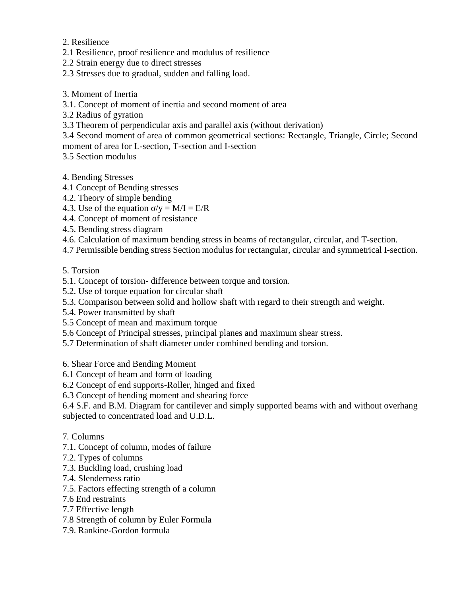2. Resilience

- 2.1 Resilience, proof resilience and modulus of resilience
- 2.2 Strain energy due to direct stresses
- 2.3 Stresses due to gradual, sudden and falling load.
- 3. Moment of Inertia
- 3.1. Concept of moment of inertia and second moment of area
- 3.2 Radius of gyration
- 3.3 Theorem of perpendicular axis and parallel axis (without derivation)
- 3.4 Second moment of area of common geometrical sections: Rectangle, Triangle, Circle; Second
- moment of area for L-section, T-section and I-section
- 3.5 Section modulus
- 4. Bending Stresses
- 4.1 Concept of Bending stresses
- 4.2. Theory of simple bending
- 4.3. Use of the equation  $/y = M/I = E/R$
- 4.4. Concept of moment of resistance
- 4.5. Bending stress diagram
- 4.6. Calculation of maximum bending stress in beams of rectangular, circular, and T-section.
- 4.7 Permissible bending stress Section modulus for rectangular, circular and symmetrical I-section.

### 5. Torsion

- 5.1. Concept of torsion- difference between torque and torsion.
- 5.2. Use of torque equation for circular shaft
- 5.3. Comparison between solid and hollow shaft with regard to their strength and weight.
- 5.4. Power transmitted by shaft
- 5.5 Concept of mean and maximum torque
- 5.6 Concept of Principal stresses, principal planes and maximum shear stress.
- 5.7 Determination of shaft diameter under combined bending and torsion.
- 6. Shear Force and Bending Moment
- 6.1 Concept of beam and form of loading
- 6.2 Concept of end supports-Roller, hinged and fixed
- 6.3 Concept of bending moment and shearing force

6.4 S.F. and B.M. Diagram for cantilever and simply supported beams with and without overhang subjected to concentrated load and U.D.L.

- 7*.* Columns
- 7.1. Concept of column, modes of failure
- 7.2. Types of columns
- 7.3. Buckling load, crushing load
- 7.4. Slenderness ratio
- 7.5. Factors effecting strength of a column
- 7.6 End restraints
- 7.7 Effective length
- 7.8 Strength of column by Euler Formula
- 7.9. Rankine-Gordon formula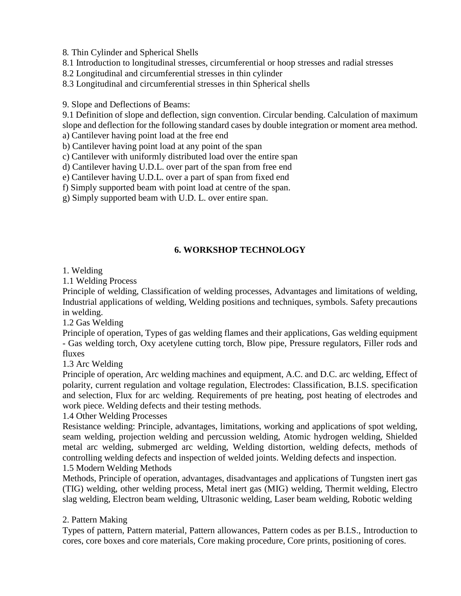8*.* Thin Cylinder and Spherical Shells

8.1 Introduction to longitudinal stresses, circumferential or hoop stresses and radial stresses

8.2 Longitudinal and circumferential stresses in thin cylinder

8.3 Longitudinal and circumferential stresses in thin Spherical shells

9. Slope and Deflections of Beams:

9.1 Definition of slope and deflection, sign convention. Circular bending. Calculation of maximum slope and deflection for the following standard cases by double integration or moment area method.

a) Cantilever having point load at the free end

b) Cantilever having point load at any point of the span

c) Cantilever with uniformly distributed load over the entire span

d) Cantilever having U.D.L. over part of the span from free end

e) Cantilever having U.D.L. over a part of span from fixed end

f) Simply supported beam with point load at centre of the span.

g) Simply supported beam with U.D. L. over entire span.

## **6. WORKSHOP TECHNOLOGY**

1. Welding

1.1 Welding Process

Principle of welding, Classification of welding processes, Advantages and limitations of welding, Industrial applications of welding, Welding positions and techniques, symbols. Safety precautions in welding.

1.2 Gas Welding

Principle of operation, Types of gas welding flames and their applications, Gas welding equipment - Gas welding torch, Oxy acetylene cutting torch, Blow pipe, Pressure regulators, Filler rods and fluxes

1.3 Arc Welding

Principle of operation, Arc welding machines and equipment, A.C. and D.C. arc welding, Effect of polarity, current regulation and voltage regulation, Electrodes: Classification, B.I.S. specification and selection, Flux for arc welding. Requirements of pre heating, post heating of electrodes and work piece. Welding defects and their testing methods.

1.4 Other Welding Processes

Resistance welding: Principle, advantages, limitations, working and applications of spot welding, seam welding, projection welding and percussion welding, Atomic hydrogen welding, Shielded metal arc welding, submerged arc welding, Welding distortion, welding defects, methods of controlling welding defects and inspection of welded joints. Welding defects and inspection. 1.5 Modern Welding Methods

Methods, Principle of operation, advantages, disadvantages and applications of Tungsten inert gas (TIG) welding, other welding process, Metal inert gas (MIG) welding, Thermit welding, Electro slag welding, Electron beam welding, Ultrasonic welding, Laser beam welding, Robotic welding

#### 2. Pattern Making

Types of pattern, Pattern material, Pattern allowances, Pattern codes as per B.I.S., Introduction to cores, core boxes and core materials, Core making procedure, Core prints, positioning of cores.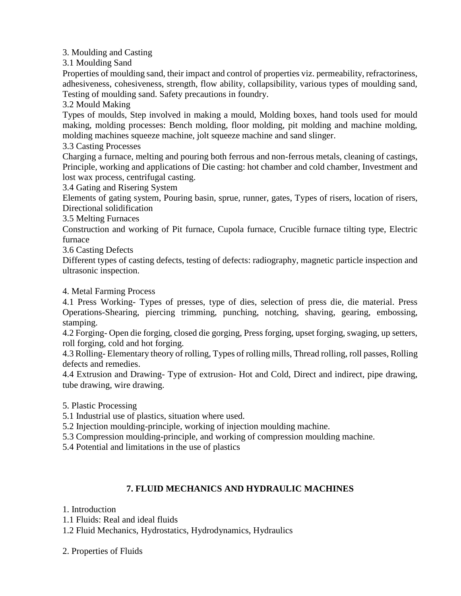3. Moulding and Casting

3.1 Moulding Sand

Properties of moulding sand, their impact and control of properties viz. permeability, refractoriness, adhesiveness, cohesiveness, strength, flow ability, collapsibility, various types of moulding sand, Testing of moulding sand. Safety precautions in foundry.

3.2 Mould Making

Types of moulds, Step involved in making a mould, Molding boxes, hand tools used for mould making, molding processes: Bench molding, floor molding, pit molding and machine molding, molding machines squeeze machine, jolt squeeze machine and sand slinger.

3.3 Casting Processes

Charging a furnace, melting and pouring both ferrous and non-ferrous metals, cleaning of castings, Principle, working and applications of Die casting: hot chamber and cold chamber, Investment and lost wax process, centrifugal casting.

3.4 Gating and Risering System

Elements of gating system, Pouring basin, sprue, runner, gates, Types of risers, location of risers, Directional solidification

3.5 Melting Furnaces

Construction and working of Pit furnace, Cupola furnace, Crucible furnace tilting type, Electric furnace

3.6 Casting Defects

Different types of casting defects, testing of defects: radiography, magnetic particle inspection and ultrasonic inspection.

4. Metal Farming Process

4.1 Press Working- Types of presses, type of dies, selection of press die, die material. Press Operations-Shearing, piercing trimming, punching, notching, shaving, gearing, embossing, stamping.

4.2 Forging- Open die forging, closed die gorging, Press forging, upset forging, swaging, up setters, roll forging, cold and hot forging.

4.3 Rolling- Elementary theory of rolling, Types of rolling mills, Thread rolling, roll passes, Rolling defects and remedies.

4.4 Extrusion and Drawing- Type of extrusion- Hot and Cold, Direct and indirect, pipe drawing, tube drawing, wire drawing.

5. Plastic Processing

5.1 Industrial use of plastics, situation where used.

5.2 Injection moulding-principle, working of injection moulding machine.

5.3 Compression moulding-principle, and working of compression moulding machine.

5.4 Potential and limitations in the use of plastics

# **7. FLUID MECHANICS AND HYDRAULIC MACHINES**

1. Introduction

1.1 Fluids: Real and ideal fluids

1.2 Fluid Mechanics, Hydrostatics, Hydrodynamics, Hydraulics

2. Properties of Fluids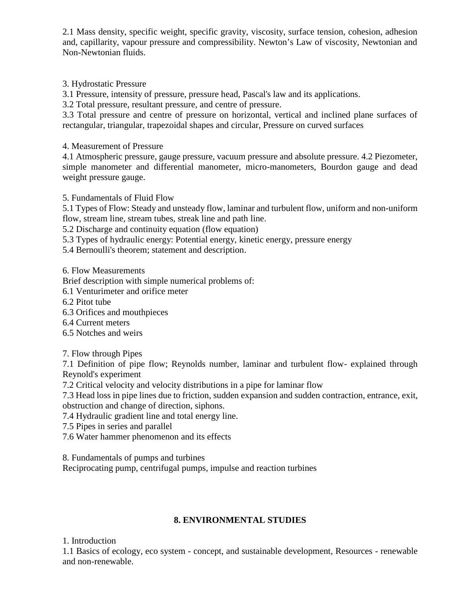2.1 Mass density, specific weight, specific gravity, viscosity, surface tension, cohesion, adhesion and, capillarity, vapour pressure and compressibility. Newton's Law of viscosity, Newtonian and Non-Newtonian fluids.

3. Hydrostatic Pressure

3.1 Pressure, intensity of pressure, pressure head, Pascal's law and its applications.

3.2 Total pressure, resultant pressure, and centre of pressure.

3.3 Total pressure and centre of pressure on horizontal, vertical and inclined plane surfaces of rectangular, triangular, trapezoidal shapes and circular, Pressure on curved surfaces

4. Measurement of Pressure

4.1 Atmospheric pressure, gauge pressure, vacuum pressure and absolute pressure. 4.2 Piezometer, simple manometer and differential manometer, micro-manometers, Bourdon gauge and dead weight pressure gauge.

5. Fundamentals of Fluid Flow

5.1 Types of Flow: Steady and unsteady flow, laminar and turbulent flow, uniform and non-uniform flow, stream line, stream tubes, streak line and path line.

5.2 Discharge and continuity equation (flow equation)

5.3 Types of hydraulic energy: Potential energy, kinetic energy, pressure energy

5.4 Bernoulli's theorem; statement and description.

6. Flow Measurements

Brief description with simple numerical problems of:

- 6.1 Venturimeter and orifice meter
- 6.2 Pitot tube
- 6.3 Orifices and mouthpieces
- 6.4 Current meters
- 6.5 Notches and weirs

7. Flow through Pipes

7.1 Definition of pipe flow; Reynolds number, laminar and turbulent flow- explained through Reynold's experiment

7.2 Critical velocity and velocity distributions in a pipe for laminar flow

7.3 Head loss in pipe lines due to friction, sudden expansion and sudden contraction, entrance, exit, obstruction and change of direction, siphons.

7.4 Hydraulic gradient line and total energy line.

7.5 Pipes in series and parallel

7.6 Water hammer phenomenon and its effects

8. Fundamentals of pumps and turbines

Reciprocating pump, centrifugal pumps, impulse and reaction turbines

## **8. ENVIRONMENTAL STUDIES**

1. Introduction

1.1 Basics of ecology, eco system - concept, and sustainable development, Resources - renewable and non-renewable.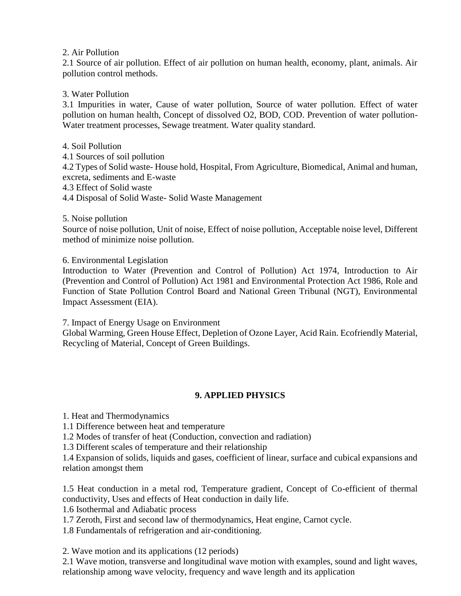### 2. Air Pollution

2.1 Source of air pollution. Effect of air pollution on human health, economy, plant, animals. Air pollution control methods.

### 3. Water Pollution

3.1 Impurities in water, Cause of water pollution, Source of water pollution. Effect of water pollution on human health, Concept of dissolved O2, BOD, COD. Prevention of water pollution- Water treatment processes, Sewage treatment. Water quality standard.

### 4. Soil Pollution

4.1 Sources of soil pollution

4.2 Types of Solid waste- House hold, Hospital, From Agriculture, Biomedical, Animal and human, excreta, sediments and E-waste

4.3 Effect of Solid waste

4.4 Disposal of Solid Waste- Solid Waste Management

#### 5. Noise pollution

Source of noise pollution, Unit of noise, Effect of noise pollution, Acceptable noise level, Different method of minimize noise pollution.

6. Environmental Legislation

Introduction to Water (Prevention and Control of Pollution) Act 1974, Introduction to Air (Prevention and Control of Pollution) Act 1981 and Environmental Protection Act 1986, Role and Function of State Pollution Control Board and National Green Tribunal (NGT), Environmental Impact Assessment (EIA).

7. Impact of Energy Usage on Environment

Global Warming, Green House Effect, Depletion of Ozone Layer, Acid Rain. Ecofriendly Material, Recycling of Material, Concept of Green Buildings.

## **9. APPLIED PHYSICS**

1. Heat and Thermodynamics

1.1 Difference between heat and temperature

1.2 Modes of transfer of heat (Conduction, convection and radiation)

1.3 Different scales of temperature and their relationship

1.4 Expansion of solids, liquids and gases, coefficient of linear, surface and cubical expansions and relation amongst them

1.5 Heat conduction in a metal rod, Temperature gradient, Concept of Co-efficient of thermal conductivity, Uses and effects of Heat conduction in daily life.

1.6 Isothermal and Adiabatic process

1.7 Zeroth, First and second law of thermodynamics, Heat engine, Carnot cycle.

1.8 Fundamentals of refrigeration and air-conditioning.

2. Wave motion and its applications (12 periods)

2.1 Wave motion, transverse and longitudinal wave motion with examples, sound and light waves, relationship among wave velocity, frequency and wave length and its application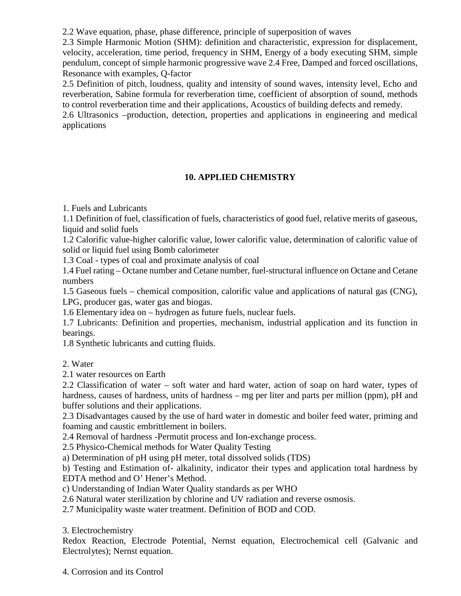2.2 Wave equation, phase, phase difference, principle of superposition of waves

2.3 Simple Harmonic Motion (SHM): definition and characteristic, expression for displacement, velocity, acceleration, time period, frequency in SHM, Energy of a body executing SHM, simple pendulum, concept of simple harmonic progressive wave 2.4 Free, Damped and forced oscillations, Resonance with examples, Q-factor

2.5 Definition of pitch, loudness, quality and intensity of sound waves, intensity level, Echo and reverberation, Sabine formula for reverberation time, coefficient of absorption of sound, methods to control reverberation time and their applications, Acoustics of building defects and remedy.

2.6 Ultrasonics –production, detection, properties and applications in engineering and medical applications

# **10. APPLIED CHEMISTRY**

1. Fuels and Lubricants

1.1 Definition of fuel, classification of fuels, characteristics of good fuel, relative merits of gaseous, liquid and solid fuels

1.2 Calorific value-higher calorific value, lower calorific value, determination of calorific value of solid or liquid fuel using Bomb calorimeter

1.3 Coal - types of coal and proximate analysis of coal

1.4 Fuel rating – Octane number and Cetane number, fuel-structural influence on Octane and Cetane numbers

1.5 Gaseous fuels – chemical composition, calorific value and applications of natural gas (CNG), LPG, producer gas, water gas and biogas.

1.6 Elementary idea on – hydrogen as future fuels, nuclear fuels.

1.7 Lubricants: Definition and properties, mechanism, industrial application and its function in bearings.

1.8 Synthetic lubricants and cutting fluids.

2. Water

2.1 water resources on Earth

2.2 Classification of water – soft water and hard water, action of soap on hard water, types of hardness, causes of hardness, units of hardness – mg per liter and parts per million (ppm), pH and buffer solutions and their applications.

2.3 Disadvantages caused by the use of hard water in domestic and boiler feed water, priming and foaming and caustic embrittlement in boilers.

2.4 Removal of hardness -Permutit process and Ion-exchange process.

2.5 Physico-Chemical methods for Water Quality Testing

a) Determination of pH using pH meter, total dissolved solids (TDS)

b) Testing and Estimation of- alkalinity, indicator their types and application total hardness by EDTA method and O' Hener's Method.

c) Understanding of Indian Water Quality standards as per WHO

2.6 Natural water sterilization by chlorine and UV radiation and reverse osmosis.

2.7 Municipality waste water treatment. Definition of BOD and COD.

3. Electrochemistry

Redox Reaction, Electrode Potential, Nernst equation, Electrochemical cell (Galvanic and Electrolytes); Nernst equation.

4. Corrosion and its Control